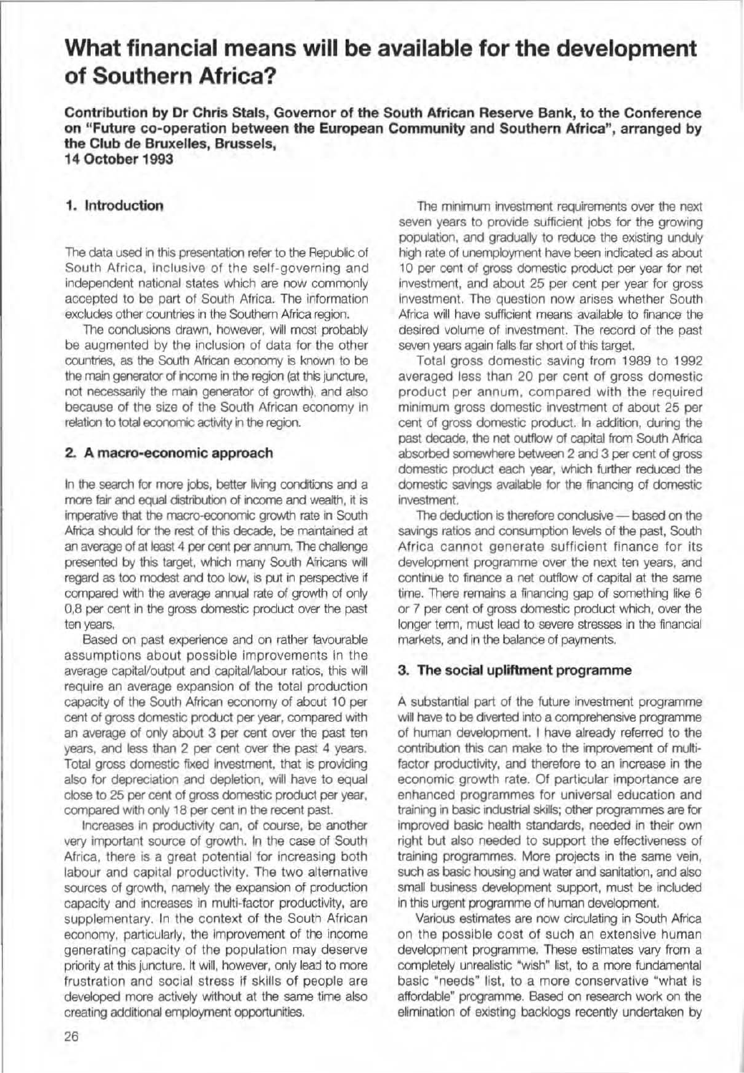# What financial means will be available for the development of Southern Africa?

Contribution by Or Chris Stals, Governor of the South African Reserve Bank, to the Conference on "Future co-operation between the European Community and Southern Africa", arranged by the Club de Bruxelles, Brussels, 14 October 1993

## 1. Introduction

The data used in this presentation refer to the Republic of South Africa, inclusive of the self-governing and independent national states which are now commonly accepted to be part of South Africa. The information excludes other countries in the Southern Africa region.

The conclusions drawn, however, will most probably be augmented by the inclusion of data for the other countries, as the South African economy is known to be the main generator of income in the region (at this juncture. not necessarily the main generator of growth), and also because of the size of the South African economy in relation to total economic activity in the region.

## 2. A macro-economic approach

In the search for more jobs, better living conditions and a more fair and equal distribution of income and wealth, it is imperative that the macro-economic growth rate in South Africa should for the rest of this decade, be mantained at an average of at least 4 per cent per annum. The challenge presented by this target, which many South Africans will regard as too modest and too low, is put in perspective if compared with the average annual rate of growth of only 0,8 per cent in the gross domestic product over the past ten years.

Based on past experience and on rather lavourable assumptions about possible improvements in the average capital/output and capital/labour ratios, this will require an average expansion of the total production capacity of the South African economy of about 10 per cent of gross domestic product per year. compared with an average of only about 3 per cent over the past ten years, and less than 2 per cent over the past 4 years, Total gross domestic fixed investment, that is providing also for depreciation and depletion. will have to equal dose to 25 per cent of gross domestic product per year, compared with only 18 per cent in the recent past.

Increases in productivity can, of course, be another very important source of growth. In the case of South Africa, there is a great potential for increasing both labour and capital productivity. The two alternative sources of growth, namely the expansion of production capacity and increases in multi·factor productivity, are supplementary. In the context of the South African economy, particularly, the Improvement of the income generating capacity of the population may deserve priority at this juncture. It will, however. onty lead to more frustration and social stress if skills of people are developed more actively without at the same time also creating additional employment opportunities.

The minimum investment requirements over the next seven years to provide sufficient jobs for the growing population, and gradually to reduce the existing unduly high rate of unemployment have been indicated as about 10 per cent of gross domestic product per year for net investment, and about 25 per cent per year for gross investment. The question now arises whether South Africa will have sufficient means available to finance the desired volume of investment. The record of the past seven years again falls far short of this target,

Total gross domestic saving from 1989 to 1992 averaged less than 20 per cent of gross domestic product per annum. compared with the required minimum gross domestic investment of about 25 per cent of gross domestic prodoct. In addition. during the past decade, the net outflow of capital from South Africa absorbed somewhere between 2 and 3 per cent of gross domestic product each year, which further reduced the domestic savings available for the financing of domestic investment.

The deduction is therefore conclusive  $-$  based on the savings ratios and consumption levels of the past. South Africa cannot generate sufficient finance for its development programme over the next ten years, and continue to finance a net outflow of capital at the same time. There remains a financing gap of something like 6 or 7 per cent of gross domestic product which, over the longer term, must lead to severe stresses in the financial markets. and in the balance of payments.

### 3. The social upliftment programme

A substantial part of the future investment programme will have to be diverted into a comprehensive programme of human development. I have already referred to the contribution this can make to the improvement of multifactor productivity, and therefore to an increase in the economic growth rate. Of particular importance are enhanced programmes for universal education and training in basic industrial skills; other programmes are for improved basic health standards, needed in their own right but also needed to support the effectiveness of training programmes. More projects in the same vein, such as basic housing and water and sanitation, and also small business development support, must be Included in this urgent programme of human development.

Various estimates are now circulating in South Africa on the possible cost of such an extensive human development programme, These estimates vary from a completely unrealistic "wish" list, to a more fundamental basic "needs" list, to a more conservative "what is affordable" programme. Based on research work on the elimination of existing backlogs recently undertaken by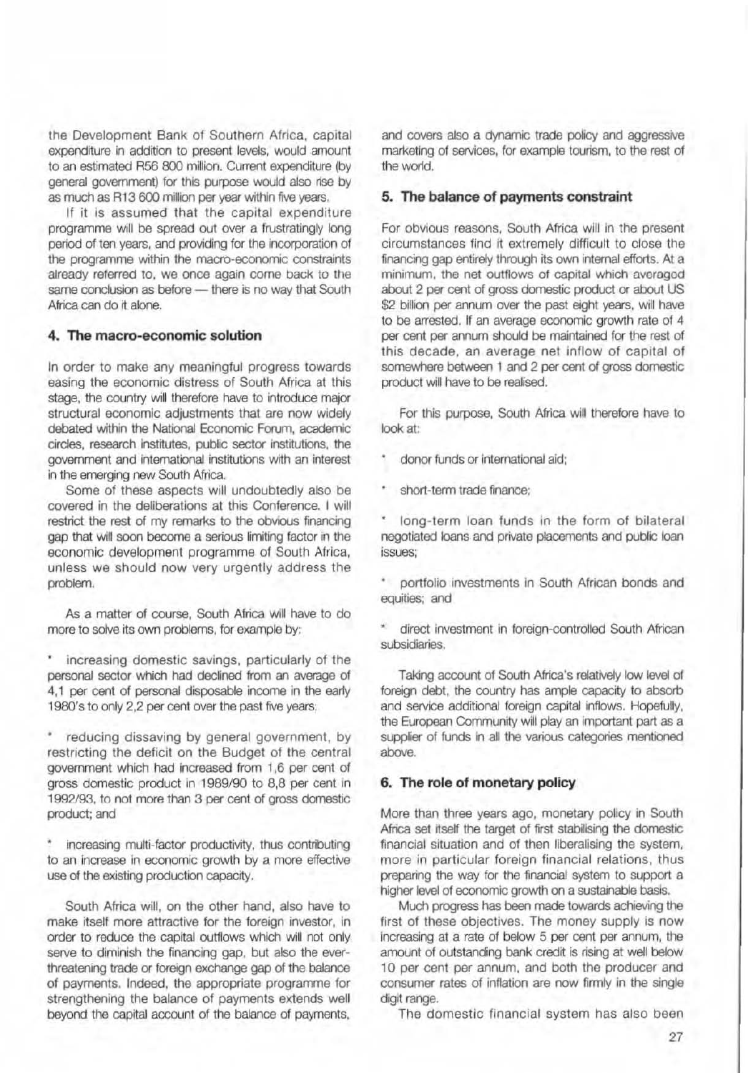the Development Bank of Southern Africa. capital expenditure in addition to present levels. would amount to an estimated A56 800 million. Current expenditure (by general government) for this purpose would also rise by as much as R13 600 million per year within five years.

1f it Is assumed that the capital expenditure programme will be spread out over a frustratingly long period of ten years, and providing for the incorporation of the programme within the macro-economic constraints already referred to, we once again come back to the same conclusion as before - there is no way that South Africa can do it alone.

#### **4. The macro-economic solution**

In order to make any meaningful progress towards easing the economic distress of South Africa at this stage, the country will therefore have to introduce major structural economic adjustments that are now widely debated within the National Economic Forum, academic circles. research institutes, public sector institutions, the government and international institutions with an interest in the emerging new South Africa.

Some of these aspects will undoubtedly also be covered in the deliberations at this Conference. I will restrict the rest of my remarks to the obvious financing gap that will soon become a serious limiting factor in the economic development programme of South Africa. unless we should now very urgently address the problem.

As a matter of course, South Africa will have to do more to solve its own problems. for example by:

increasing domestic savings. particularly of the personal sector which had declined from an average of 4,1 per cent of personal disposable income in the early 1980's to only 2,2 per cent over the past five years.

reducing dissaving by general government, by restricting the deficit on the Budget of the central government which had increased from 1.6 per cent of gross domestic product in 1989/90 to 8,8 per cent in 1992/93, to not more than 3 per cent of gross domestic product: and

increasing multi-factor productivity, thus contributing to an increase in economic growth by a more effective use of the existing production capacity.

South Africa will, on the other hand, also have to make itself more attractive for the foreign investor, in order to reduce the capital outflows which will not only serve to diminish the financing gap. but also the everthreatening trade or foreign exchange gap of the balance of payments. Indeed. the appropriate programme for strengthening the balance of payments extends well beyond the capital account of the balance of payments,

and covers also a dynamic trade policy and aggressive marketing of services, for example tourism, to the rest of the world.

#### 5. **The balance of payments constraint**

For obvious reasons. South Africa will in the present circumstances find it extremely difficult to close the financing gap entirely through its own internal efforts. At a minimum. the net outflows of capital which averagod about 2 per cent of gross domestic product or about US \$2 billion per annum over the past eight years, will have to be arrested. If an average economic growth rate of 4 per cent per annum shoold be maintained for the rest of this decade. an average net inflow of capital of somewhere between 1 and 2 per cent of gross domestic product will have to be realised.

For this purpose, South Africa will therefore have to look at:

donor funds or international aid;

short-term trade finance;

long-term loan funds in the form of bilateral negotiated loans and private placements and public loan issues;

portfolio investments in South African bonds and equities: and

direct investment in foreign-controlled South African subsidiaries.

Taking account of South Africa's relatively low level of foreign debt, the country has ample capacity to absorb and service additional foreign capital inflows. Hopefully. the European Community will play an important part as a supplier of funds in all the various categories mentioned above.

#### **6. The role of monetary policy**

More than three years ago. monetary policy in South Africa set itself the target of first stabilising the domestic financial situation and of then liberalising the system. more in particular foreign financial relations. thus preparing the way for the financial system to support a higher level of economic growth on a sustainable basis.

Much progress has been made towards achieving the first of these objectives. The money supply is now increasing at a rate of below 5 per cent per annum, the amount of outstanding bank credit is rising at well below 10 per cent per annum, and both the producer and consumer rates of inflation are now firmly in the single digit range.

The domestic financial system has also been